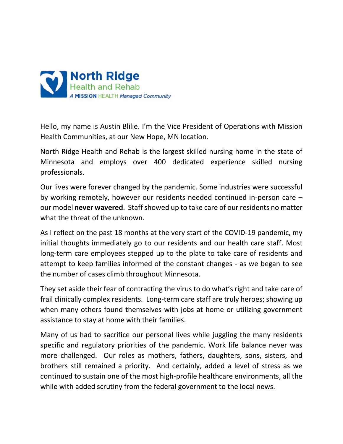

Hello, my name is Austin Blilie. I'm the Vice President of Operations with Mission Health Communities, at our New Hope, MN location.

North Ridge Health and Rehab is the largest skilled nursing home in the state of Minnesota and employs over 400 dedicated experience skilled nursing professionals.

Our lives were forever changed by the pandemic. Some industries were successful by working remotely, however our residents needed continued in-person care – our model **never wavered**. Staff showed up to take care of our residents no matter what the threat of the unknown.

As I reflect on the past 18 months at the very start of the COVID-19 pandemic, my initial thoughts immediately go to our residents and our health care staff. Most long-term care employees stepped up to the plate to take care of residents and attempt to keep families informed of the constant changes - as we began to see the number of cases climb throughout Minnesota.

They set aside their fear of contracting the virus to do what's right and take care of frail clinically complex residents. Long-term care staff are truly heroes; showing up when many others found themselves with jobs at home or utilizing government assistance to stay at home with their families.

Many of us had to sacrifice our personal lives while juggling the many residents specific and regulatory priorities of the pandemic. Work life balance never was more challenged. Our roles as mothers, fathers, daughters, sons, sisters, and brothers still remained a priority. And certainly, added a level of stress as we continued to sustain one of the most high-profile healthcare environments, all the while with added scrutiny from the federal government to the local news.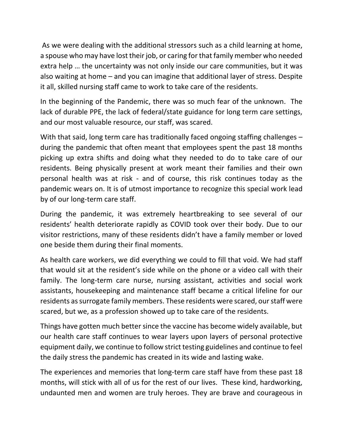As we were dealing with the additional stressors such as a child learning at home, a spouse who may have lost their job, or caring for that family member who needed extra help … the uncertainty was not only inside our care communities, but it was also waiting at home – and you can imagine that additional layer of stress. Despite it all, skilled nursing staff came to work to take care of the residents.

In the beginning of the Pandemic, there was so much fear of the unknown. The lack of durable PPE, the lack of federal/state guidance for long term care settings, and our most valuable resource, our staff, was scared.

With that said, long term care has traditionally faced ongoing staffing challenges – during the pandemic that often meant that employees spent the past 18 months picking up extra shifts and doing what they needed to do to take care of our residents. Being physically present at work meant their families and their own personal health was at risk - and of course, this risk continues today as the pandemic wears on. It is of utmost importance to recognize this special work lead by of our long-term care staff.

During the pandemic, it was extremely heartbreaking to see several of our residents' health deteriorate rapidly as COVID took over their body. Due to our visitor restrictions, many of these residents didn't have a family member or loved one beside them during their final moments.

As health care workers, we did everything we could to fill that void. We had staff that would sit at the resident's side while on the phone or a video call with their family. The long-term care nurse, nursing assistant, activities and social work assistants, housekeeping and maintenance staff became a critical lifeline for our residents as surrogate family members. These residents were scared, our staff were scared, but we, as a profession showed up to take care of the residents.

Things have gotten much better since the vaccine has become widely available, but our health care staff continues to wear layers upon layers of personal protective equipment daily, we continue to follow strict testing guidelines and continue to feel the daily stress the pandemic has created in its wide and lasting wake.

The experiences and memories that long-term care staff have from these past 18 months, will stick with all of us for the rest of our lives. These kind, hardworking, undaunted men and women are truly heroes. They are brave and courageous in